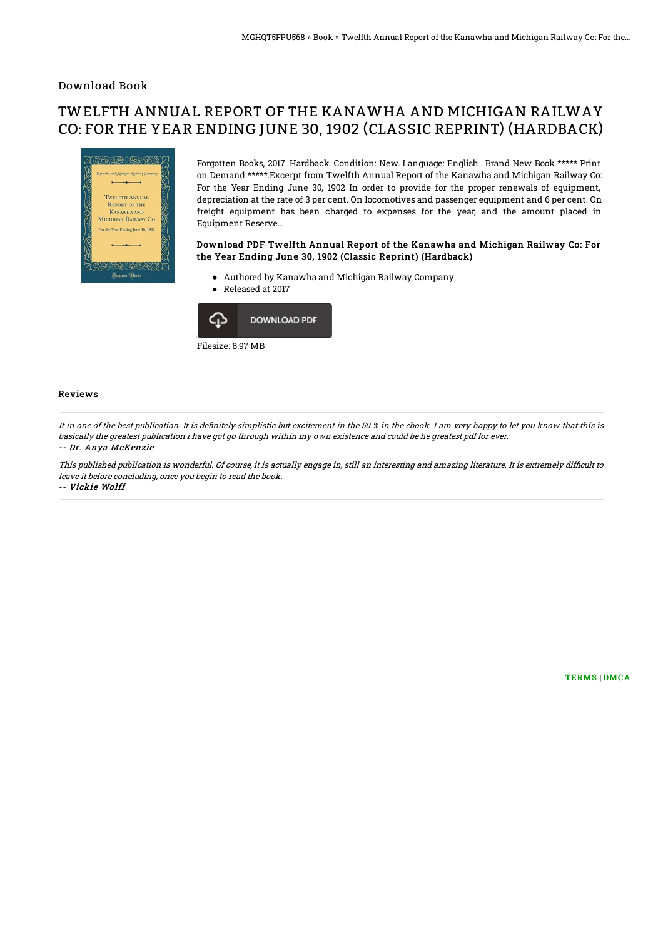### Download Book

# TWELFTH ANNUAL REPORT OF THE KANAWHA AND MICHIGAN RAILWAY CO: FOR THE YEAR ENDING JUNE 30, 1902 (CLASSIC REPRINT) (HARDBACK)



Forgotten Books, 2017. Hardback. Condition: New. Language: English . Brand New Book \*\*\*\*\* Print on Demand \*\*\*\*\*.Excerpt from Twelfth Annual Report of the Kanawha and Michigan Railway Co: For the Year Ending June 30, 1902 In order to provide for the proper renewals of equipment, depreciation at the rate of 3 per cent. On locomotives and passenger equipment and 6 per cent. On freight equipment has been charged to expenses for the year, and the amount placed in Equipment Reserve...

#### Download PDF Twelfth Annual Report of the Kanawha and Michigan Railway Co: For the Year Ending June 30, 1902 (Classic Reprint) (Hardback)

- Authored by Kanawha and Michigan Railway Company
- Released at 2017



#### Filesize: 8.97 MB

#### Reviews

It in one of the best publication. It is definitely simplistic but excitement in the 50 % in the ebook. I am very happy to let you know that this is basically the greatest publication i have got go through within my own existence and could be he greatest pdf for ever. -- Dr. Anya McKenzie

This published publication is wonderful. Of course, it is actually engage in, still an interesting and amazing literature. It is extremely difficult to leave it before concluding, once you begin to read the book. -- Vickie Wolff